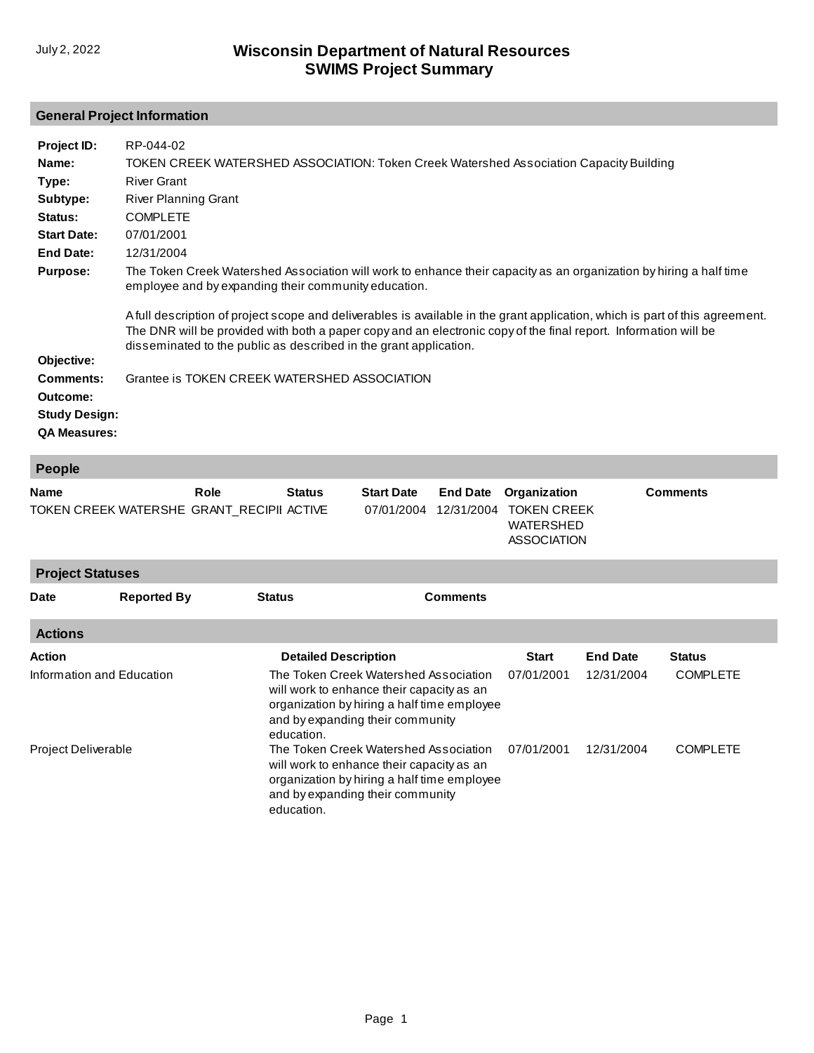## **General Project Information**

| Project ID:          | RP-044-02                                                                                                                                                                                                                                                                                                            |
|----------------------|----------------------------------------------------------------------------------------------------------------------------------------------------------------------------------------------------------------------------------------------------------------------------------------------------------------------|
| Name:                | TOKEN CREEK WATERSHED ASSOCIATION: Token Creek Watershed Association Capacity Building                                                                                                                                                                                                                               |
| Type:                | <b>River Grant</b>                                                                                                                                                                                                                                                                                                   |
| Subtype:             | <b>River Planning Grant</b>                                                                                                                                                                                                                                                                                          |
| Status:              | <b>COMPLETE</b>                                                                                                                                                                                                                                                                                                      |
| <b>Start Date:</b>   | 07/01/2001                                                                                                                                                                                                                                                                                                           |
| End Date:            | 12/31/2004                                                                                                                                                                                                                                                                                                           |
| <b>Purpose:</b>      | The Token Creek Watershed Association will work to enhance their capacity as an organization by hiring a half time<br>employee and by expanding their community education.                                                                                                                                           |
|                      | A full description of project scope and deliverables is available in the grant application, which is part of this agreement.<br>The DNR will be provided with both a paper copy and an electronic copy of the final report. Information will be<br>disseminated to the public as described in the grant application. |
| Objective:           |                                                                                                                                                                                                                                                                                                                      |
| Comments:            | Grantee is TOKEN CREEK WATERSHED ASSOCIATION                                                                                                                                                                                                                                                                         |
| Outcome:             |                                                                                                                                                                                                                                                                                                                      |
| <b>Study Design:</b> |                                                                                                                                                                                                                                                                                                                      |
| <b>QA Measures:</b>  |                                                                                                                                                                                                                                                                                                                      |

| <b>People</b>                                            |                    |               |                                                                                                                                                                                     |  |                               |                                                                              |                 |                 |  |
|----------------------------------------------------------|--------------------|---------------|-------------------------------------------------------------------------------------------------------------------------------------------------------------------------------------|--|-------------------------------|------------------------------------------------------------------------------|-----------------|-----------------|--|
| <b>Name</b><br>TOKEN CREEK WATERSHE GRANT_RECIPII ACTIVE |                    | Role          | <b>Status</b><br><b>Start Date</b><br>07/01/2004                                                                                                                                    |  | <b>End Date</b><br>12/31/2004 | Organization<br><b>TOKEN CREEK</b><br><b>WATERSHED</b><br><b>ASSOCIATION</b> |                 | <b>Comments</b> |  |
| <b>Project Statuses</b>                                  |                    |               |                                                                                                                                                                                     |  |                               |                                                                              |                 |                 |  |
| Date                                                     | <b>Reported By</b> | <b>Status</b> |                                                                                                                                                                                     |  | <b>Comments</b>               |                                                                              |                 |                 |  |
| <b>Actions</b>                                           |                    |               |                                                                                                                                                                                     |  |                               |                                                                              |                 |                 |  |
| Action                                                   |                    |               | <b>Detailed Description</b>                                                                                                                                                         |  |                               | <b>Start</b>                                                                 | <b>End Date</b> | <b>Status</b>   |  |
| Information and Education                                |                    |               | The Token Creek Watershed Association<br>will work to enhance their capacity as an<br>organization by hiring a half time employee<br>and by expanding their community<br>education. |  |                               | 07/01/2001                                                                   | 12/31/2004      | <b>COMPLETE</b> |  |
| Project Deliverable                                      |                    |               | The Token Creek Watershed Association<br>will work to enhance their capacity as an<br>organization by hiring a half time employee<br>and by expanding their community<br>education. |  | 07/01/2001                    | 12/31/2004                                                                   | <b>COMPLETE</b> |                 |  |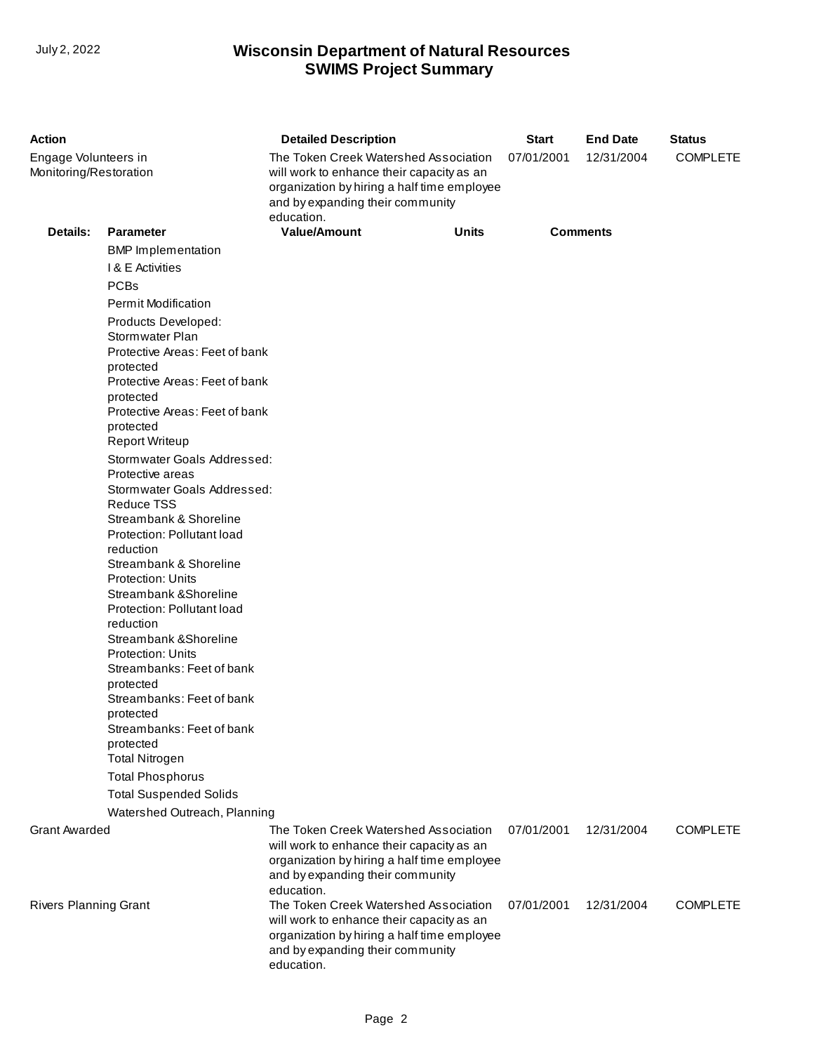## **SWIMS Project Summary** July 2, 2022 **Wisconsin Department of Natural Resources**

| <b>Action</b>                                        |                                                                                                                                                                                                                                                                                                                                                                                                                                                                                                                                                                              | <b>Detailed Description</b>                                                                                                                                                                                                                                                                                                                                                | <b>Start</b>             | <b>End Date</b>          | <b>Status</b>                      |  |
|------------------------------------------------------|------------------------------------------------------------------------------------------------------------------------------------------------------------------------------------------------------------------------------------------------------------------------------------------------------------------------------------------------------------------------------------------------------------------------------------------------------------------------------------------------------------------------------------------------------------------------------|----------------------------------------------------------------------------------------------------------------------------------------------------------------------------------------------------------------------------------------------------------------------------------------------------------------------------------------------------------------------------|--------------------------|--------------------------|------------------------------------|--|
| Engage Volunteers in<br>Monitoring/Restoration       |                                                                                                                                                                                                                                                                                                                                                                                                                                                                                                                                                                              | The Token Creek Watershed Association<br>will work to enhance their capacity as an<br>organization by hiring a half time employee<br>and by expanding their community<br>education.                                                                                                                                                                                        | 07/01/2001               | 12/31/2004               | <b>COMPLETE</b>                    |  |
| Details:                                             | <b>Parameter</b>                                                                                                                                                                                                                                                                                                                                                                                                                                                                                                                                                             | <b>Value/Amount</b><br><b>Units</b>                                                                                                                                                                                                                                                                                                                                        |                          | <b>Comments</b>          |                                    |  |
|                                                      | <b>BMP</b> Implementation                                                                                                                                                                                                                                                                                                                                                                                                                                                                                                                                                    |                                                                                                                                                                                                                                                                                                                                                                            |                          |                          |                                    |  |
|                                                      | I & E Activities                                                                                                                                                                                                                                                                                                                                                                                                                                                                                                                                                             |                                                                                                                                                                                                                                                                                                                                                                            |                          |                          |                                    |  |
|                                                      | <b>PCBs</b>                                                                                                                                                                                                                                                                                                                                                                                                                                                                                                                                                                  |                                                                                                                                                                                                                                                                                                                                                                            |                          |                          |                                    |  |
|                                                      | <b>Permit Modification</b>                                                                                                                                                                                                                                                                                                                                                                                                                                                                                                                                                   |                                                                                                                                                                                                                                                                                                                                                                            |                          |                          |                                    |  |
|                                                      | Products Developed:<br>Stormwater Plan<br>Protective Areas: Feet of bank<br>protected<br>Protective Areas: Feet of bank<br>protected<br>Protective Areas: Feet of bank<br>protected                                                                                                                                                                                                                                                                                                                                                                                          |                                                                                                                                                                                                                                                                                                                                                                            |                          |                          |                                    |  |
|                                                      | <b>Report Writeup</b>                                                                                                                                                                                                                                                                                                                                                                                                                                                                                                                                                        |                                                                                                                                                                                                                                                                                                                                                                            |                          |                          |                                    |  |
|                                                      | Stormwater Goals Addressed:<br>Protective areas<br>Stormwater Goals Addressed:<br><b>Reduce TSS</b><br>Streambank & Shoreline<br>Protection: Pollutant load<br>reduction<br>Streambank & Shoreline<br><b>Protection: Units</b><br>Streambank & Shoreline<br>Protection: Pollutant load<br>reduction<br>Streambank & Shoreline<br><b>Protection: Units</b><br>Streambanks: Feet of bank<br>protected<br>Streambanks: Feet of bank<br>protected<br>Streambanks: Feet of bank<br>protected<br><b>Total Nitrogen</b><br><b>Total Phosphorus</b><br><b>Total Suspended Solids</b> |                                                                                                                                                                                                                                                                                                                                                                            |                          |                          |                                    |  |
| Watershed Outreach, Planning                         |                                                                                                                                                                                                                                                                                                                                                                                                                                                                                                                                                                              |                                                                                                                                                                                                                                                                                                                                                                            |                          |                          |                                    |  |
| <b>Grant Awarded</b><br><b>Rivers Planning Grant</b> |                                                                                                                                                                                                                                                                                                                                                                                                                                                                                                                                                                              | The Token Creek Watershed Association<br>will work to enhance their capacity as an<br>organization by hiring a half time employee<br>and by expanding their community<br>education.<br>The Token Creek Watershed Association<br>will work to enhance their capacity as an<br>organization by hiring a half time employee<br>and by expanding their community<br>education. | 07/01/2001<br>07/01/2001 | 12/31/2004<br>12/31/2004 | <b>COMPLETE</b><br><b>COMPLETE</b> |  |